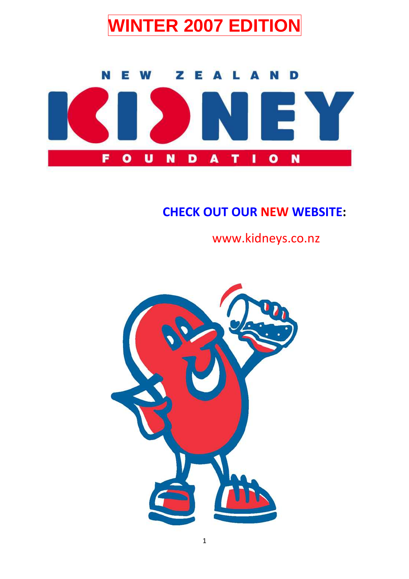



# CHECK OUT OUR NEW WEBSITE:

www.kidneys.co.nz

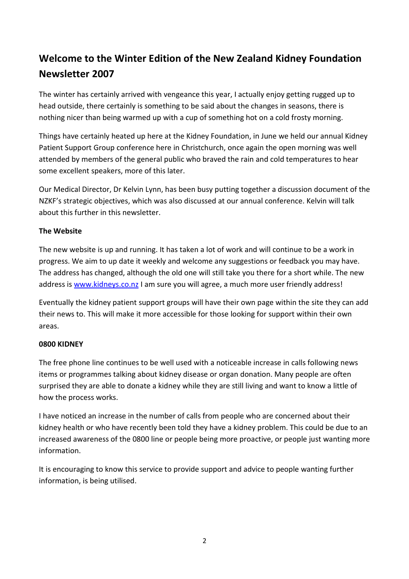## Welcome to the Winter Edition of the New Zealand Kidney Foundation Newsletter 2007

The winter has certainly arrived with vengeance this year, I actually enjoy getting rugged up to head outside, there certainly is something to be said about the changes in seasons, there is nothing nicer than being warmed up with a cup of something hot on a cold frosty morning.

Things have certainly heated up here at the Kidney Foundation, in June we held our annual Kidney Patient Support Group conference here in Christchurch, once again the open morning was well attended by members of the general public who braved the rain and cold temperatures to hear some excellent speakers, more of this later.

Our Medical Director, Dr Kelvin Lynn, has been busy putting together a discussion document of the NZKF's strategic objectives, which was also discussed at our annual conference. Kelvin will talk about this further in this newsletter.

#### The Website

The new website is up and running. It has taken a lot of work and will continue to be a work in progress. We aim to up date it weekly and welcome any suggestions or feedback you may have. The address has changed, although the old one will still take you there for a short while. The new address is www.kidneys.co.nz I am sure you will agree, a much more user friendly address!

Eventually the kidney patient support groups will have their own page within the site they can add their news to. This will make it more accessible for those looking for support within their own areas.

#### 0800 KIDNEY

The free phone line continues to be well used with a noticeable increase in calls following news items or programmes talking about kidney disease or organ donation. Many people are often surprised they are able to donate a kidney while they are still living and want to know a little of how the process works.

I have noticed an increase in the number of calls from people who are concerned about their kidney health or who have recently been told they have a kidney problem. This could be due to an increased awareness of the 0800 line or people being more proactive, or people just wanting more information.

It is encouraging to know this service to provide support and advice to people wanting further information, is being utilised.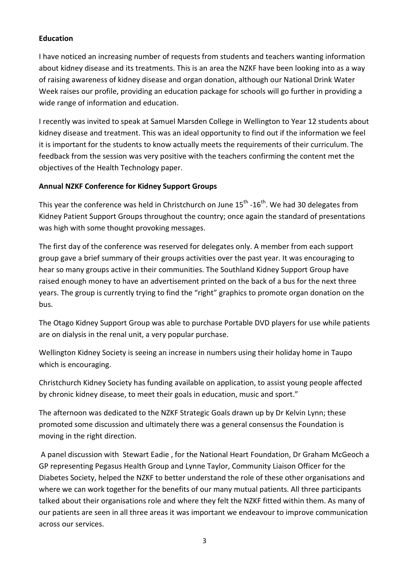#### Education

I have noticed an increasing number of requests from students and teachers wanting information about kidney disease and its treatments. This is an area the NZKF have been looking into as a way of raising awareness of kidney disease and organ donation, although our National Drink Water Week raises our profile, providing an education package for schools will go further in providing a wide range of information and education.

I recently was invited to speak at Samuel Marsden College in Wellington to Year 12 students about kidney disease and treatment. This was an ideal opportunity to find out if the information we feel it is important for the students to know actually meets the requirements of their curriculum. The feedback from the session was very positive with the teachers confirming the content met the objectives of the Health Technology paper.

#### Annual NZKF Conference for Kidney Support Groups

This year the conference was held in Christchurch on June  $15^{th}$  -16<sup>th</sup>. We had 30 delegates from Kidney Patient Support Groups throughout the country; once again the standard of presentations was high with some thought provoking messages.

The first day of the conference was reserved for delegates only. A member from each support group gave a brief summary of their groups activities over the past year. It was encouraging to hear so many groups active in their communities. The Southland Kidney Support Group have raised enough money to have an advertisement printed on the back of a bus for the next three years. The group is currently trying to find the "right" graphics to promote organ donation on the bus.

The Otago Kidney Support Group was able to purchase Portable DVD players for use while patients are on dialysis in the renal unit, a very popular purchase.

Wellington Kidney Society is seeing an increase in numbers using their holiday home in Taupo which is encouraging.

Christchurch Kidney Society has funding available on application, to assist young people affected by chronic kidney disease, to meet their goals in education, music and sport."

The afternoon was dedicated to the NZKF Strategic Goals drawn up by Dr Kelvin Lynn; these promoted some discussion and ultimately there was a general consensus the Foundation is moving in the right direction.

 A panel discussion with Stewart Eadie , for the National Heart Foundation, Dr Graham McGeoch a GP representing Pegasus Health Group and Lynne Taylor, Community Liaison Officer for the Diabetes Society, helped the NZKF to better understand the role of these other organisations and where we can work together for the benefits of our many mutual patients. All three participants talked about their organisations role and where they felt the NZKF fitted within them. As many of our patients are seen in all three areas it was important we endeavour to improve communication across our services.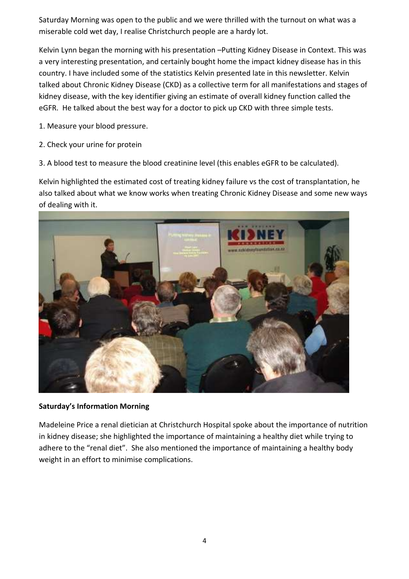Saturday Morning was open to the public and we were thrilled with the turnout on what was a miserable cold wet day, I realise Christchurch people are a hardy lot.

Kelvin Lynn began the morning with his presentation –Putting Kidney Disease in Context. This was a very interesting presentation, and certainly bought home the impact kidney disease has in this country. I have included some of the statistics Kelvin presented late in this newsletter. Kelvin talked about Chronic Kidney Disease (CKD) as a collective term for all manifestations and stages of kidney disease, with the key identifier giving an estimate of overall kidney function called the eGFR. He talked about the best way for a doctor to pick up CKD with three simple tests.

1. Measure your blood pressure.

- 2. Check your urine for protein
- 3. A blood test to measure the blood creatinine level (this enables eGFR to be calculated).

Kelvin highlighted the estimated cost of treating kidney failure vs the cost of transplantation, he also talked about what we know works when treating Chronic Kidney Disease and some new ways of dealing with it.



#### Saturday's Information Morning

Madeleine Price a renal dietician at Christchurch Hospital spoke about the importance of nutrition in kidney disease; she highlighted the importance of maintaining a healthy diet while trying to adhere to the "renal diet". She also mentioned the importance of maintaining a healthy body weight in an effort to minimise complications.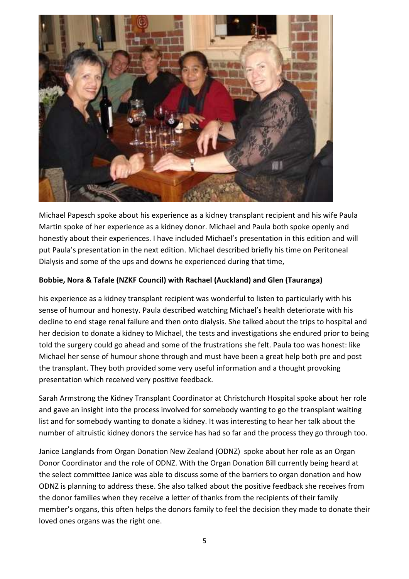

Michael Papesch spoke about his experience as a kidney transplant recipient and his wife Paula Martin spoke of her experience as a kidney donor. Michael and Paula both spoke openly and honestly about their experiences. I have included Michael's presentation in this edition and will put Paula's presentation in the next edition. Michael described briefly his time on Peritoneal Dialysis and some of the ups and downs he experienced during that time,

#### Bobbie, Nora & Tafale (NZKF Council) with Rachael (Auckland) and Glen (Tauranga)

his experience as a kidney transplant recipient was wonderful to listen to particularly with his sense of humour and honesty. Paula described watching Michael's health deteriorate with his decline to end stage renal failure and then onto dialysis. She talked about the trips to hospital and her decision to donate a kidney to Michael, the tests and investigations she endured prior to being told the surgery could go ahead and some of the frustrations she felt. Paula too was honest: like Michael her sense of humour shone through and must have been a great help both pre and post the transplant. They both provided some very useful information and a thought provoking presentation which received very positive feedback.

Sarah Armstrong the Kidney Transplant Coordinator at Christchurch Hospital spoke about her role and gave an insight into the process involved for somebody wanting to go the transplant waiting list and for somebody wanting to donate a kidney. It was interesting to hear her talk about the number of altruistic kidney donors the service has had so far and the process they go through too.

Janice Langlands from Organ Donation New Zealand (ODNZ) spoke about her role as an Organ Donor Coordinator and the role of ODNZ. With the Organ Donation Bill currently being heard at the select committee Janice was able to discuss some of the barriers to organ donation and how ODNZ is planning to address these. She also talked about the positive feedback she receives from the donor families when they receive a letter of thanks from the recipients of their family member's organs, this often helps the donors family to feel the decision they made to donate their loved ones organs was the right one.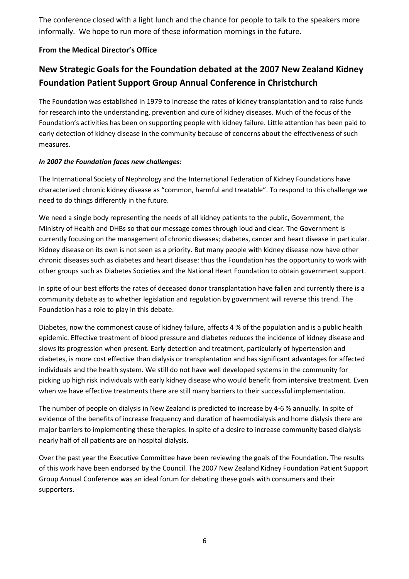The conference closed with a light lunch and the chance for people to talk to the speakers more informally. We hope to run more of these information mornings in the future.

#### From the Medical Director's Office

### New Strategic Goals for the Foundation debated at the 2007 New Zealand Kidney Foundation Patient Support Group Annual Conference in Christchurch

The Foundation was established in 1979 to increase the rates of kidney transplantation and to raise funds for research into the understanding, prevention and cure of kidney diseases. Much of the focus of the Foundation's activities has been on supporting people with kidney failure. Little attention has been paid to early detection of kidney disease in the community because of concerns about the effectiveness of such measures.

#### In 2007 the Foundation faces new challenges:

The International Society of Nephrology and the International Federation of Kidney Foundations have characterized chronic kidney disease as "common, harmful and treatable". To respond to this challenge we need to do things differently in the future.

We need a single body representing the needs of all kidney patients to the public, Government, the Ministry of Health and DHBs so that our message comes through loud and clear. The Government is currently focusing on the management of chronic diseases; diabetes, cancer and heart disease in particular. Kidney disease on its own is not seen as a priority. But many people with kidney disease now have other chronic diseases such as diabetes and heart disease: thus the Foundation has the opportunity to work with other groups such as Diabetes Societies and the National Heart Foundation to obtain government support.

In spite of our best efforts the rates of deceased donor transplantation have fallen and currently there is a community debate as to whether legislation and regulation by government will reverse this trend. The Foundation has a role to play in this debate.

Diabetes, now the commonest cause of kidney failure, affects 4 % of the population and is a public health epidemic. Effective treatment of blood pressure and diabetes reduces the incidence of kidney disease and slows its progression when present. Early detection and treatment, particularly of hypertension and diabetes, is more cost effective than dialysis or transplantation and has significant advantages for affected individuals and the health system. We still do not have well developed systems in the community for picking up high risk individuals with early kidney disease who would benefit from intensive treatment. Even when we have effective treatments there are still many barriers to their successful implementation.

The number of people on dialysis in New Zealand is predicted to increase by 4-6 % annually. In spite of evidence of the benefits of increase frequency and duration of haemodialysis and home dialysis there are major barriers to implementing these therapies. In spite of a desire to increase community based dialysis nearly half of all patients are on hospital dialysis.

Over the past year the Executive Committee have been reviewing the goals of the Foundation. The results of this work have been endorsed by the Council. The 2007 New Zealand Kidney Foundation Patient Support Group Annual Conference was an ideal forum for debating these goals with consumers and their supporters.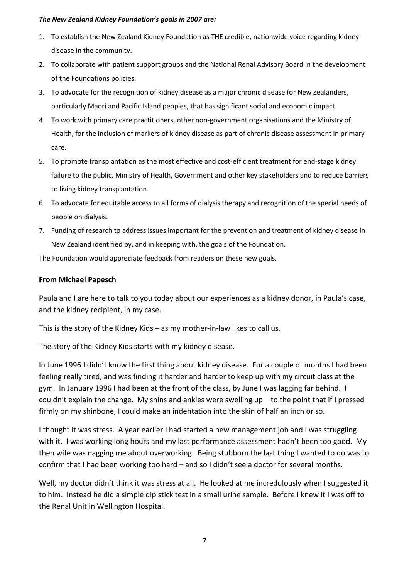#### The New Zealand Kidney Foundation's goals in 2007 are:

- 1. To establish the New Zealand Kidney Foundation as THE credible, nationwide voice regarding kidney disease in the community.
- 2. To collaborate with patient support groups and the National Renal Advisory Board in the development of the Foundations policies.
- 3. To advocate for the recognition of kidney disease as a major chronic disease for New Zealanders, particularly Maori and Pacific Island peoples, that has significant social and economic impact.
- 4. To work with primary care practitioners, other non-government organisations and the Ministry of Health, for the inclusion of markers of kidney disease as part of chronic disease assessment in primary care.
- 5. To promote transplantation as the most effective and cost-efficient treatment for end-stage kidney failure to the public, Ministry of Health, Government and other key stakeholders and to reduce barriers to living kidney transplantation.
- 6. To advocate for equitable access to all forms of dialysis therapy and recognition of the special needs of people on dialysis.
- 7. Funding of research to address issues important for the prevention and treatment of kidney disease in New Zealand identified by, and in keeping with, the goals of the Foundation.

The Foundation would appreciate feedback from readers on these new goals.

#### From Michael Papesch

Paula and I are here to talk to you today about our experiences as a kidney donor, in Paula's case, and the kidney recipient, in my case.

This is the story of the Kidney Kids – as my mother-in-law likes to call us.

The story of the Kidney Kids starts with my kidney disease.

In June 1996 I didn't know the first thing about kidney disease. For a couple of months I had been feeling really tired, and was finding it harder and harder to keep up with my circuit class at the gym. In January 1996 I had been at the front of the class, by June I was lagging far behind. I couldn't explain the change. My shins and ankles were swelling up – to the point that if I pressed firmly on my shinbone, I could make an indentation into the skin of half an inch or so.

I thought it was stress. A year earlier I had started a new management job and I was struggling with it. I was working long hours and my last performance assessment hadn't been too good. My then wife was nagging me about overworking. Being stubborn the last thing I wanted to do was to confirm that I had been working too hard – and so I didn't see a doctor for several months.

Well, my doctor didn't think it was stress at all. He looked at me incredulously when I suggested it to him. Instead he did a simple dip stick test in a small urine sample. Before I knew it I was off to the Renal Unit in Wellington Hospital.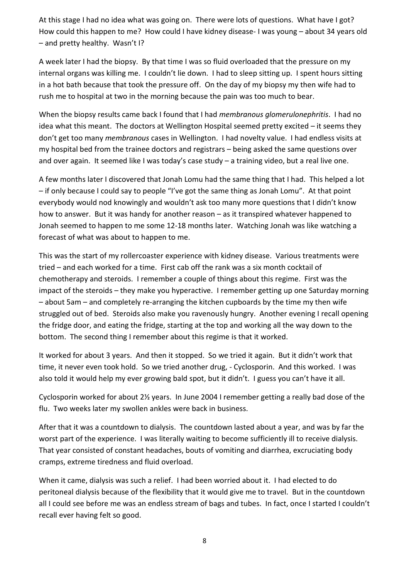At this stage I had no idea what was going on. There were lots of questions. What have I got? How could this happen to me? How could I have kidney disease- I was young – about 34 years old – and pretty healthy. Wasn't I?

A week later I had the biopsy. By that time I was so fluid overloaded that the pressure on my internal organs was killing me. I couldn't lie down. I had to sleep sitting up. I spent hours sitting in a hot bath because that took the pressure off. On the day of my biopsy my then wife had to rush me to hospital at two in the morning because the pain was too much to bear.

When the biopsy results came back I found that I had membranous glomerulonephritis. I had no idea what this meant. The doctors at Wellington Hospital seemed pretty excited – it seems they don't get too many *membranous* cases in Wellington. I had novelty value. I had endless visits at my hospital bed from the trainee doctors and registrars – being asked the same questions over and over again. It seemed like I was today's case study - a training video, but a real live one.

A few months later I discovered that Jonah Lomu had the same thing that I had. This helped a lot – if only because I could say to people "I've got the same thing as Jonah Lomu". At that point everybody would nod knowingly and wouldn't ask too many more questions that I didn't know how to answer. But it was handy for another reason – as it transpired whatever happened to Jonah seemed to happen to me some 12-18 months later. Watching Jonah was like watching a forecast of what was about to happen to me.

This was the start of my rollercoaster experience with kidney disease. Various treatments were tried – and each worked for a time. First cab off the rank was a six month cocktail of chemotherapy and steroids. I remember a couple of things about this regime. First was the impact of the steroids – they make you hyperactive. I remember getting up one Saturday morning – about 5am – and completely re-arranging the kitchen cupboards by the time my then wife struggled out of bed. Steroids also make you ravenously hungry. Another evening I recall opening the fridge door, and eating the fridge, starting at the top and working all the way down to the bottom. The second thing I remember about this regime is that it worked.

It worked for about 3 years. And then it stopped. So we tried it again. But it didn't work that time, it never even took hold. So we tried another drug, - Cyclosporin. And this worked. I was also told it would help my ever growing bald spot, but it didn't. I guess you can't have it all.

Cyclosporin worked for about 2½ years. In June 2004 I remember getting a really bad dose of the flu. Two weeks later my swollen ankles were back in business.

After that it was a countdown to dialysis. The countdown lasted about a year, and was by far the worst part of the experience. I was literally waiting to become sufficiently ill to receive dialysis. That year consisted of constant headaches, bouts of vomiting and diarrhea, excruciating body cramps, extreme tiredness and fluid overload.

When it came, dialysis was such a relief. I had been worried about it. I had elected to do peritoneal dialysis because of the flexibility that it would give me to travel. But in the countdown all I could see before me was an endless stream of bags and tubes. In fact, once I started I couldn't recall ever having felt so good.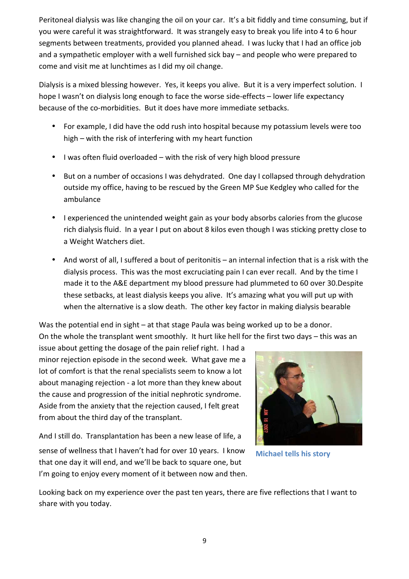Peritoneal dialysis was like changing the oil on your car. It's a bit fiddly and time consuming, but if you were careful it was straightforward. It was strangely easy to break you life into 4 to 6 hour segments between treatments, provided you planned ahead. I was lucky that I had an office job and a sympathetic employer with a well furnished sick bay – and people who were prepared to come and visit me at lunchtimes as I did my oil change.

Dialysis is a mixed blessing however. Yes, it keeps you alive. But it is a very imperfect solution. I hope I wasn't on dialysis long enough to face the worse side-effects – lower life expectancy because of the co-morbidities. But it does have more immediate setbacks.

- For example, I did have the odd rush into hospital because my potassium levels were too high – with the risk of interfering with my heart function
- I was often fluid overloaded with the risk of very high blood pressure
- But on a number of occasions I was dehydrated. One day I collapsed through dehydration outside my office, having to be rescued by the Green MP Sue Kedgley who called for the ambulance
- I experienced the unintended weight gain as your body absorbs calories from the glucose rich dialysis fluid. In a year I put on about 8 kilos even though I was sticking pretty close to a Weight Watchers diet.
- And worst of all, I suffered a bout of peritonitis an internal infection that is a risk with the dialysis process. This was the most excruciating pain I can ever recall. And by the time I made it to the A&E department my blood pressure had plummeted to 60 over 30.Despite these setbacks, at least dialysis keeps you alive. It's amazing what you will put up with when the alternative is a slow death. The other key factor in making dialysis bearable

Was the potential end in sight – at that stage Paula was being worked up to be a donor. On the whole the transplant went smoothly. It hurt like hell for the first two days – this was an

issue about getting the dosage of the pain relief right. I had a minor rejection episode in the second week. What gave me a lot of comfort is that the renal specialists seem to know a lot about managing rejection - a lot more than they knew about the cause and progression of the initial nephrotic syndrome. Aside from the anxiety that the rejection caused, I felt great from about the third day of the transplant.

And I still do. Transplantation has been a new lease of life, a sense of wellness that I haven't had for over 10 years. I know that one day it will end, and we'll be back to square one, but I'm going to enjoy every moment of it between now and then.



Michael tells his story

Looking back on my experience over the past ten years, there are five reflections that I want to share with you today.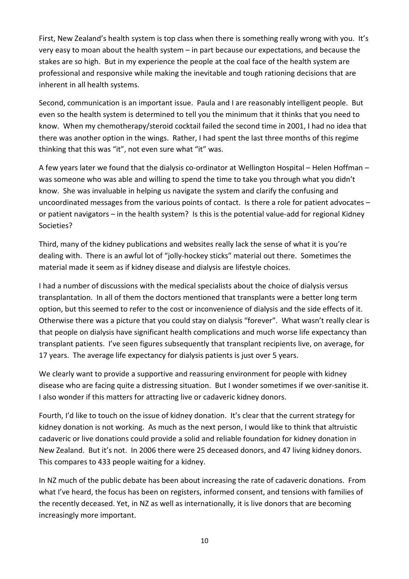First, New Zealand's health system is top class when there is something really wrong with you. It's very easy to moan about the health system – in part because our expectations, and because the stakes are so high. But in my experience the people at the coal face of the health system are professional and responsive while making the inevitable and tough rationing decisions that are inherent in all health systems.

Second, communication is an important issue. Paula and I are reasonably intelligent people. But even so the health system is determined to tell you the minimum that it thinks that you need to know. When my chemotherapy/steroid cocktail failed the second time in 2001, I had no idea that there was another option in the wings. Rather, I had spent the last three months of this regime thinking that this was "it", not even sure what "it" was.

A few years later we found that the dialysis co-ordinator at Wellington Hospital – Helen Hoffman – was someone who was able and willing to spend the time to take you through what you didn't know. She was invaluable in helping us navigate the system and clarify the confusing and uncoordinated messages from the various points of contact. Is there a role for patient advocates – or patient navigators – in the health system? Is this is the potential value-add for regional Kidney Societies?

Third, many of the kidney publications and websites really lack the sense of what it is you're dealing with. There is an awful lot of "jolly-hockey sticks" material out there. Sometimes the material made it seem as if kidney disease and dialysis are lifestyle choices.

I had a number of discussions with the medical specialists about the choice of dialysis versus transplantation. In all of them the doctors mentioned that transplants were a better long term option, but this seemed to refer to the cost or inconvenience of dialysis and the side effects of it. Otherwise there was a picture that you could stay on dialysis "forever". What wasn't really clear is that people on dialysis have significant health complications and much worse life expectancy than transplant patients. I've seen figures subsequently that transplant recipients live, on average, for 17 years. The average life expectancy for dialysis patients is just over 5 years.

We clearly want to provide a supportive and reassuring environment for people with kidney disease who are facing quite a distressing situation. But I wonder sometimes if we over-sanitise it. I also wonder if this matters for attracting live or cadaveric kidney donors.

Fourth, I'd like to touch on the issue of kidney donation. It's clear that the current strategy for kidney donation is not working. As much as the next person, I would like to think that altruistic cadaveric or live donations could provide a solid and reliable foundation for kidney donation in New Zealand. But it's not. In 2006 there were 25 deceased donors, and 47 living kidney donors. This compares to 433 people waiting for a kidney.

In NZ much of the public debate has been about increasing the rate of cadaveric donations. From what I've heard, the focus has been on registers, informed consent, and tensions with families of the recently deceased. Yet, in NZ as well as internationally, it is live donors that are becoming increasingly more important.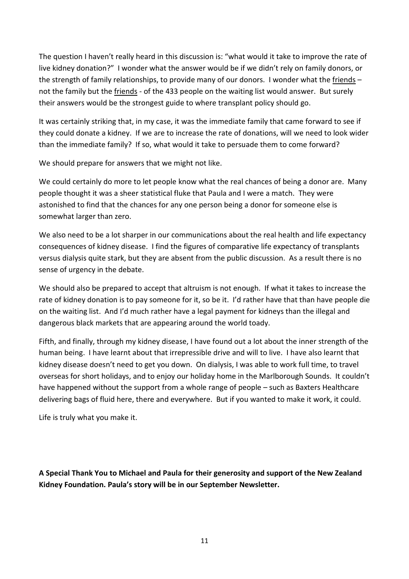The question I haven't really heard in this discussion is: "what would it take to improve the rate of live kidney donation?" I wonder what the answer would be if we didn't rely on family donors, or the strength of family relationships, to provide many of our donors. I wonder what the friends – not the family but the *friends* - of the 433 people on the waiting list would answer. But surely their answers would be the strongest guide to where transplant policy should go.

It was certainly striking that, in my case, it was the immediate family that came forward to see if they could donate a kidney. If we are to increase the rate of donations, will we need to look wider than the immediate family? If so, what would it take to persuade them to come forward?

We should prepare for answers that we might not like.

We could certainly do more to let people know what the real chances of being a donor are. Many people thought it was a sheer statistical fluke that Paula and I were a match. They were astonished to find that the chances for any one person being a donor for someone else is somewhat larger than zero.

We also need to be a lot sharper in our communications about the real health and life expectancy consequences of kidney disease. I find the figures of comparative life expectancy of transplants versus dialysis quite stark, but they are absent from the public discussion. As a result there is no sense of urgency in the debate.

We should also be prepared to accept that altruism is not enough. If what it takes to increase the rate of kidney donation is to pay someone for it, so be it. I'd rather have that than have people die on the waiting list. And I'd much rather have a legal payment for kidneys than the illegal and dangerous black markets that are appearing around the world toady.

Fifth, and finally, through my kidney disease, I have found out a lot about the inner strength of the human being. I have learnt about that irrepressible drive and will to live. I have also learnt that kidney disease doesn't need to get you down. On dialysis, I was able to work full time, to travel overseas for short holidays, and to enjoy our holiday home in the Marlborough Sounds. It couldn't have happened without the support from a whole range of people – such as Baxters Healthcare delivering bags of fluid here, there and everywhere. But if you wanted to make it work, it could.

Life is truly what you make it.

A Special Thank You to Michael and Paula for their generosity and support of the New Zealand Kidney Foundation. Paula's story will be in our September Newsletter.